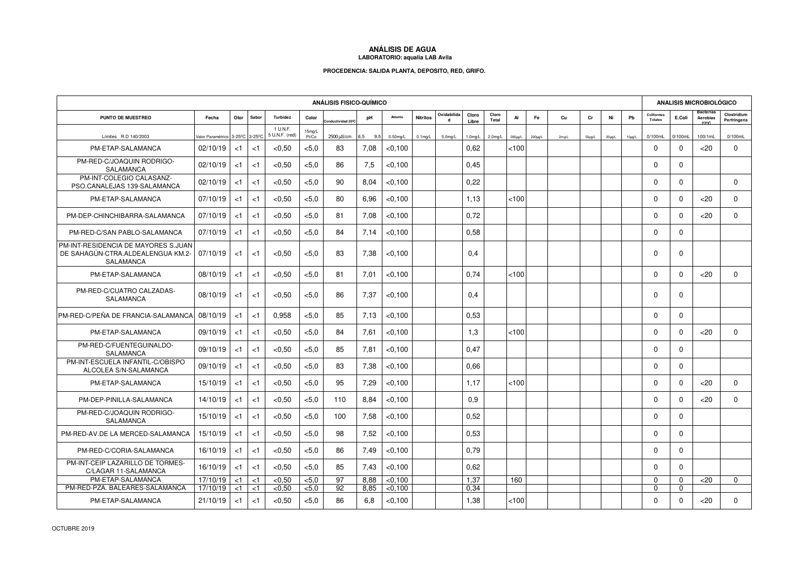## **ANÁLISIS DE AGUA LABORATORIO: aqualia LAB Avila**

## **PROCEDENCIA: SALIDA PLANTA, DEPOSITO, RED, GRIFO.**

| <b>ANÁLISIS FISICO-QUÍMICO</b>                                                        |                                 |          |       |                            |                 |                  |            |             |                   |                            |                |                |               | ANALISIS MICROBIOLÓGICO |       |              |              |             |                              |              |                               |                            |
|---------------------------------------------------------------------------------------|---------------------------------|----------|-------|----------------------------|-----------------|------------------|------------|-------------|-------------------|----------------------------|----------------|----------------|---------------|-------------------------|-------|--------------|--------------|-------------|------------------------------|--------------|-------------------------------|----------------------------|
| PUNTO DE MUESTREO                                                                     | Fecha                           | Olor     | Sabor | Turbidez                   | Color           | nductividad 25ºC | pH         | Amonio      | <b>Nitritos</b>   | Oxidabilida<br>$\mathbf d$ | Cloro<br>Libre | Cloro<br>Total | AI            | Fe                      | Cu    | cr           | Ni           | Pb          | Coliformes<br><b>Totales</b> | E.Coli       | Bacterias<br>Aerobias<br>22ºC | Clostridium<br>Perfringens |
| Límites R.D 140/2003                                                                  | Valor Paramétrico 3-25°C 3-25°C |          |       | 1 U.N.F.<br>5 U.N.F. (red) | 15mg/L<br>Pt/Co | 2500 µS/cm       | 6,5<br>9,5 | $0.50$ mg/L | $0.1 \text{mg/L}$ | 5.0 <sub>mq/L</sub>        | $1,0$ mg/L     | $2,0$ mg/L     | $200 \mu g/L$ | $200 \mu\text{g/L}$     | 2mg/L | $50 \mu g/L$ | $20 \mu g/L$ | $10\mu$ g/L | 0/100mL                      | 0/100mL      | 100/1mL                       | 0/100mL                    |
| PM-ETAP-SALAMANCA                                                                     | 02/10/19                        | $<$ 1    | $<$ 1 | < 0.50                     | $<$ 5,0         | 83               | 7,08       | < 0.100     |                   |                            | 0,62           |                | <100          |                         |       |              |              |             | $\Omega$                     | $\Omega$     | $20$                          | $\mathbf 0$                |
| PM-RED-C/JOAQUIN RODRIGO-<br>SALAMANCA                                                | 02/10/19                        | $<$ 1    | < 1   | < 0.50                     | $<$ 5.0         | 86               | 7,5        | < 0.100     |                   |                            | 0.45           |                |               |                         |       |              |              |             | $\Omega$                     | $\Omega$     |                               |                            |
| PM-INT-COLEGIO CALASANZ-<br>PSO.CANALEJAS 139-SALAMANCA                               | 02/10/19                        | $<$ 1    | < 1   | < 0.50                     | < 5.0           | 90               | 8.04       | < 0.100     |                   |                            | 0.22           |                |               |                         |       |              |              |             | $\Omega$                     | $\Omega$     |                               | $\Omega$                   |
| PM-ETAP-SALAMANCA                                                                     | 07/10/19                        | $<$ 1    | < 1   | < 0.50                     | < 5.0           | 80               | 6.96       | < 0.100     |                   |                            | 1.13           |                | <100          |                         |       |              |              |             | $\Omega$                     | $\Omega$     | <20                           | $\Omega$                   |
| PM-DEP-CHINCHIBARRA-SALAMANCA                                                         | 07/10/19                        | $<$ 1    | $<$ 1 | ${<}0.50$                  | < 5.0           | 81               | 7.08       | < 0.100     |                   |                            | 0.72           |                |               |                         |       |              |              |             | $\mathbf 0$                  | $\Omega$     | $<$ 20                        | 0                          |
| PM-RED-C/SAN PABLO-SALAMANCA                                                          | 07/10/19                        | $<$ 1    | < 1   | $<$ 0,50                   | < 5.0           | 84               | 7,14       | < 0.100     |                   |                            | 0.58           |                |               |                         |       |              |              |             | $\Omega$                     | $\mathbf 0$  |                               |                            |
| PM-INT-RESIDENCIA DE MAYORES S.JUAN<br>DE SAHAGÚN-CTRA.ALDEALENGUA KM.2-<br>SALAMANCA | 07/10/19                        | $<$ 1    | $<$ 1 | < 0.50                     | < 5.0           | 83               | 7.38       | < 0.100     |                   |                            | 0.4            |                |               |                         |       |              |              |             | $\Omega$                     | $\Omega$     |                               |                            |
| PM-ETAP-SALAMANCA                                                                     | 08/10/19                        | < 1      | < 1   | < 0.50                     | < 5.0           | 81               | 7,01       | < 0.100     |                   |                            | 0,74           |                | < 100         |                         |       |              |              |             | $\Omega$                     | $\Omega$     | $<$ 20                        | $\Omega$                   |
| PM-RED-C/CUATRO CALZADAS-<br>SALAMANCA                                                | 08/10/19                        | $<$ 1    | < 1   | < 0, 50                    | < 5.0           | 86               | 7,37       | < 0.100     |                   |                            | 0,4            |                |               |                         |       |              |              |             | $\mathbf 0$                  | $\Omega$     |                               |                            |
| PM-RED-C/PEÑA DE FRANCIA-SALAMANCA                                                    | 08/10/19                        | $<$ 1    | $<$ 1 | 0.958                      | < 5.0           | 85               | 7.13       | < 0.100     |                   |                            | 0.53           |                |               |                         |       |              |              |             | $\Omega$                     | $\Omega$     |                               |                            |
| PM-ETAP-SALAMANCA                                                                     | 09/10/19                        | $<$ 1    | < 1   | < 0, 50                    | < 5.0           | 84               | 7,61       | < 0.100     |                   |                            | 1,3            |                | < 100         |                         |       |              |              |             | $\Omega$                     | $\mathbf 0$  | <20                           | $\mathbf 0$                |
| PM-RED-C/FUENTEGUINALDO-<br>SALAMANCA                                                 | 09/10/19                        | < 1      | < 1   | < 0, 50                    | < 5.0           | 85               | 7,81       | < 0.100     |                   |                            | 0,47           |                |               |                         |       |              |              |             | $\Omega$                     | $\mathbf 0$  |                               |                            |
| PM-INT-ESCUELA INFANTIL-C/OBISPO<br>ALCOLEA S/N-SALAMANCA                             | 09/10/19                        | < 1      | < 1   | < 0, 50                    | < 5.0           | 83               | 7,38       | < 0.100     |                   |                            | 0,66           |                |               |                         |       |              |              |             | $\mathbf 0$                  | $\Omega$     |                               |                            |
| PM-ETAP-SALAMANCA                                                                     | 15/10/19                        | $<$ 1    | < 1   | < 0.50                     | < 5.0           | 95               | 7,29       | < 0.100     |                   |                            | 1,17           |                | < 100         |                         |       |              |              |             | $\mathbf 0$                  | $\Omega$     | $20$                          | $\Omega$                   |
| PM-DEP-PINILLA-SALAMANCA                                                              | 14/10/19                        | $<$ 1    | < 1   | < 0.50                     | < 5.0           | 110              | 8,84       | < 0.100     |                   |                            | 0.9            |                |               |                         |       |              |              |             | $\Omega$                     | $\Omega$     | $20$                          | $\Omega$                   |
| PM-RED-C/JOAQUIN RODRIGO-<br>SALAMANCA                                                | 15/10/19                        | < 1      | < 1   | < 0.50                     | < 5.0           | 100              | 7,58       | < 0.100     |                   |                            | 0,52           |                |               |                         |       |              |              |             | $\Omega$                     | $\Omega$     |                               |                            |
| PM-RED-AV.DE LA MERCED-SALAMANCA                                                      | 15/10/19                        | $\leq$ 1 | < 1   | < 0.50                     | < 5.0           | 98               | 7.52       | < 0.100     |                   |                            | 0.53           |                |               |                         |       |              |              |             | $\Omega$                     | $\Omega$     |                               |                            |
| PM-RED-C/CORIA-SALAMANCA                                                              | 16/10/19                        | < 1      | < 1   | < 0.50                     | < 5.0           | 86               | 7,49       | $<$ 0,100   |                   |                            | 0,79           |                |               |                         |       |              |              |             | $\mathbf 0$                  | $\mathbf{0}$ |                               |                            |
| PM-INT-CEIP LAZARILLO DE TORMES-<br>C/LAGAR 11-SALAMANCA                              | 16/10/19                        | < 1      | < 1   | < 0.50                     | < 5.0           | 85               | 7.43       | < 0.100     |                   |                            | 0,62           |                |               |                         |       |              |              |             | $\Omega$                     | $\Omega$     |                               |                            |
| PM-ETAP-SALAMANCA                                                                     | 17/10/19                        | < 1      | $<$ 1 | < 0.50                     | < 5.0           | 97               | 8.88       | < 0.100     |                   |                            | 1.37           |                | 160           |                         |       |              |              |             | $\Omega$                     | $\mathbf 0$  | $<$ 20                        | $\Omega$                   |
| PM-RED-PZA. BALEARES-SALAMANCA                                                        | 17/10/19                        | <1       | < 1   | < 0.50                     | < 5.0           | $\overline{92}$  | 8.85       | < 0,100     |                   |                            | 0.34           |                |               |                         |       |              |              |             | $\Omega$                     | $\Omega$     |                               |                            |
| PM-ETAP-SALAMANCA                                                                     | 21/10/19                        | $<$ 1    | $<$ 1 | < 0, 50                    | < 5, 0          | 86               | 6,8        | $<$ 0,100   |                   |                            | 1,38           |                | < 100         |                         |       |              |              |             | $\Omega$                     | $\Omega$     | $<$ 20                        | 0                          |